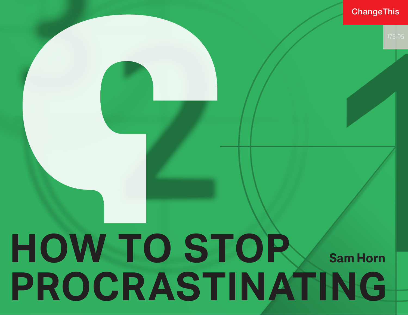### **ChangeThis**

# **HOW TO STOP PROCRASTINATING Sam Horn**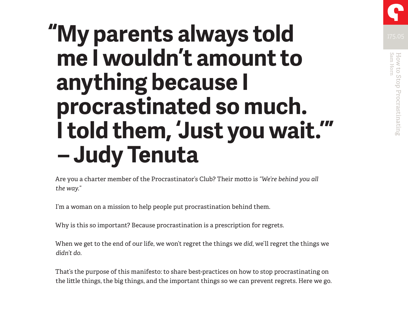

## **"My parents always told me I wouldn't amount to anything because I procrastinated so much. I told them, 'Just you wait.'" – Judy Tenuta**

Are you a charter member of the Procrastinator's Club? Their motto is *"We're behind you all the way."*

I'm a woman on a mission to help people put procrastination behind them.

Why is this so important? Because procrastination is a prescription for regrets.

When we get to the end of our life, we won't regret the things we *did*, we'll regret the things we *didn't do*.

That's the purpose of this manifesto: to share best-practices on how to stop procrastinating on the little things, the big things, and the important things so we can prevent regrets. Here we go.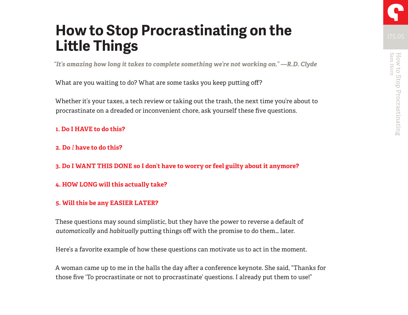### **How to Stop Procrastinating on the Little Things**

*"It's amazing how long it takes to complete something we're not working on." —R.D. Clyde*

What are you waiting to do? What are some tasks you keep putting off?

Whether it's your taxes, a tech review or taking out the trash, the next time you're about to procrastinate on a dreaded or inconvenient chore, ask yourself these five questions.

### **1. Do I HAVE to do this?**

### **2. Do** *I* **have to do this?**

**3. Do I WANT THIS DONE so I don't have to worry or feel guilty about it anymore?**

### **4. HOW LONG will this actually take?**

### **5. Will this be any EASIER LATER?**

These questions may sound simplistic, but they have the power to reverse a default of *automatically* and *habitually* putting things off with the promise to do them… later.

Here's a favorite example of how these questions can motivate us to act in the moment.

A woman came up to me in the halls the day after a conference keynote. She said, "Thanks for those five 'To procrastinate or not to procrastinate' questions. I already put them to use!"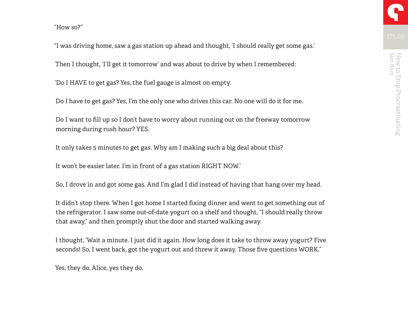"I was driving home, saw a gas station up ahead and thought, 'I should really get some gas.'

Then I thought, 'I'll get it tomorrow' and was about to drive by when I remembered:

'Do I HAVE to get gas? Yes, the fuel gauge is almost on empty.

Do *I* have to get gas? Yes, I'm the only one who drives this car. No one will do it for me.

Do I want to fill up so I don't have to worry about running out on the freeway tomorrow morning during rush hour? YES.

It only takes 5 minutes to get gas. Why am I making such a big deal about this?

It won't be easier later. I'm in front of a gas station RIGHT NOW.'

So, I drove in and got some gas. And I'm glad I did instead of having that hang over my head.

It didn't stop there. When I got home I started fixing dinner and went to get something out of the refrigerator. I saw some out-of-date yogurt on a shelf and thought, "I should really throw that away," and then promptly shut the door and started walking away.

I thought, 'Wait a minute. I just did it again. How long does it take to throw away yogurt? Five seconds! So, I went back, got the yogurt out and threw it away. Those five questions WORK."

Yes, they do, Alice, yes they do.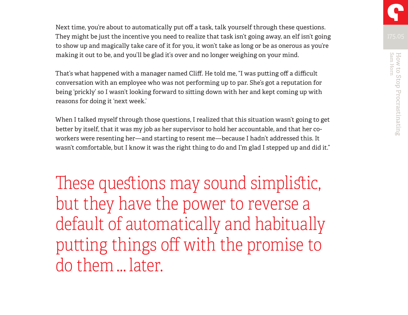Next time, you're about to automatically put off a task, talk yourself through these questions. They might be just the incentive you need to realize that task isn't going away, an elf isn't going to show up and magically take care of it for you, it won't take as long or be as onerous as you're making it out to be, and you'll be glad it's over and no longer weighing on your mind.

That's what happened with a manager named Cliff. He told me, "I was putting off a difficult conversation with an employee who was not performing up to par. She's got a reputation for being 'prickly' so I wasn't looking forward to sitting down with her and kept coming up with reasons for doing it 'next week.'

When I talked myself through those questions, I realized that this situation wasn't going to get better by itself, that it was my job as her supervisor to hold her accountable, and that her coworkers were resenting her—and starting to resent me—because I hadn't addressed this. It wasn't comfortable, but I know it was the right thing to do and I'm glad I stepped up and did it."

These questions may sound simplistic, but they have the power to reverse a default of automatically and habitually putting things off with the promise to do them … later.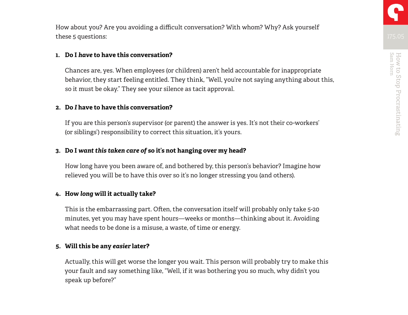How about you? Are you avoiding a difficult conversation? With whom? Why? Ask yourself these 5 questions:

### **1. Do I** *have* **to have this conversation?**

Chances are, yes. When employees (or children) aren't held accountable for inappropriate behavior, they start feeling entitled. They think, "Well, you're not saying anything about this, so it must be okay." They see your silence as tacit approval.

### **2. Do** *I* **have to have this conversation?**

If you are this person's supervisor (or parent) the answer is yes. It's not their co-workers' (or siblings') responsibility to correct this situation, it's yours.

### **3. Do I** *want this taken care of* **so it's not hanging over my head?**

How long have you been aware of, and bothered by, this person's behavior? Imagine how relieved you will be to have this over so it's no longer stressing you (and others).

### **4. How** *long* **will it actually take?**

This is the embarrassing part. Often, the conversation itself will probably only take 5-20 minutes, yet you may have spent hours—weeks or months—thinking about it. Avoiding what needs to be done is a misuse, a waste, of time or energy.

### **5. Will this be any** *easier* **later?**

Actually, this will get worse the longer you wait. This person will probably try to make this your fault and say something like, "Well, if it was bothering you so much, why didn't you speak up before?"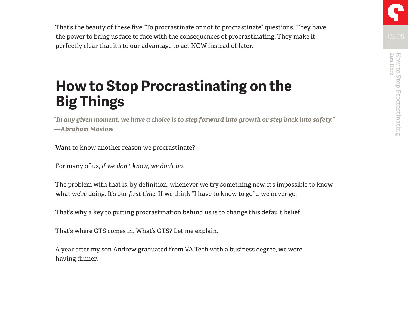That's the beauty of these five "To procrastinate or not to procrastinate" questions. They have the power to bring us face to face with the consequences of procrastinating. They make it perfectly clear that it's to our advantage to act NOW instead of later.

## **How to Stop Procrastinating on the Big Things**

*"In any given moment, we have a choice is to step forward into growth or step back into safety." —Abraham Maslow*

Want to know another reason we procrastinate?

For many of us, *if we don't know, we don't go*.

The problem with that is, by definition, whenever we try something new, it's impossible to know what we're doing. It's our *first time*. If we think "I have to know to go" … we never go.

That's why a key to putting procrastination behind us is to change this default belief.

That's where GTS comes in. What's GTS? Let me explain.

A year after my son Andrew graduated from VA Tech with a business degree, we were having dinner.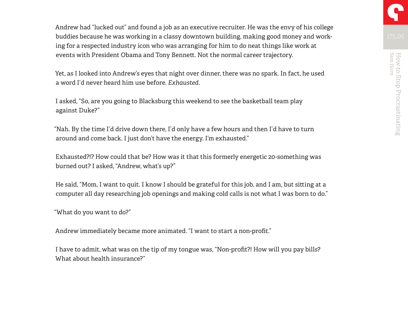Andrew had "lucked out" and found a job as an executive recruiter. He was the envy of his college buddies because he was working in a classy downtown building, making good money and working for a respected industry icon who was arranging for him to do neat things like work at events with President Obama and Tony Bennett. Not the normal career trajectory.

Yet, as I looked into Andrew's eyes that night over dinner, there was no spark. In fact, he used a word I'd never heard him use before. *Exhausted*.

I asked, "So, are you going to Blacksburg this weekend to see the basketball team play against Duke?"

"Nah. By the time I'd drive down there, I'd only have a few hours and then I'd have to turn around and come back. I just don't have the energy. I'm exhausted."

Exhausted?!? How could that be? How was it that this formerly energetic 20-something was burned out? I asked, "Andrew, what's up?"

He said, "Mom, I want to quit. I know I should be grateful for this job, and I am, but sitting at a computer all day researching job openings and making cold calls is not what I was born to do."

"What do you want to do?"

Andrew immediately became more animated. "I want to start a non-profit."

I have to admit, what was on the tip of my tongue was, "Non-profit?! How will you pay bills? What about health insurance?"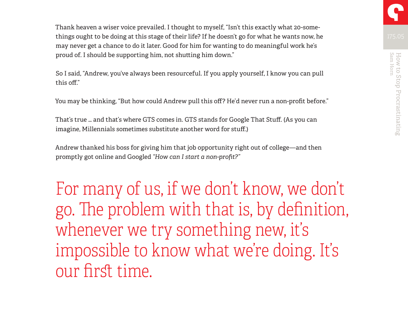Thank heaven a wiser voice prevailed. I thought to myself, "Isn't this exactly what 20-somethings ought to be doing at this stage of their life? If he doesn't go for what he wants now, he may never get a chance to do it later. Good for him for wanting to do meaningful work he's proud of. I should be supporting him, not shutting him down."

So I said, "Andrew, you've always been resourceful. If you apply yourself, I know you can pull this off."

You may be thinking, "But how could Andrew pull this off? He'd never run a non-profit before."

That's true … and that's where GTS comes in. GTS stands for Google That Stuff. (As you can imagine, Millennials sometimes substitute another word for stuff.)

Andrew thanked his boss for giving him that job opportunity right out of college—and then promptly got online and Googled *"How can I start a non-profit?"*

For many of us, if we don't know, we don't go. The problem with that is, by definition, whenever we try something new, it's impossible to know what we're doing. It's our first time.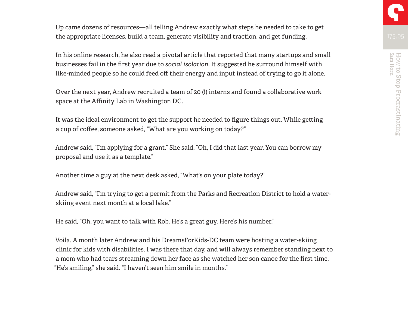Up came dozens of resources—all telling Andrew exactly what steps he needed to take to get the appropriate licenses, build a team, generate visibility and traction, and get funding.

In his online research, he also read a pivotal article that reported that many startups and small businesses fail in the first year due to *social isolation*. It suggested he surround himself with like-minded people so he could feed off their energy and input instead of trying to go it alone.

Over the next year, Andrew recruited a team of 20 (!) interns and found a collaborative work space at the Affinity Lab in Washington DC.

It was the ideal environment to get the support he needed to figure things out. While getting a cup of coffee, someone asked, "What are you working on today?"

Andrew said, "I'm applying for a grant." She said, "Oh, I did that last year. You can borrow my proposal and use it as a template."

Another time a guy at the next desk asked, "What's on your plate today?"

Andrew said, "I'm trying to get a permit from the Parks and Recreation District to hold a waterskiing event next month at a local lake."

He said, "Oh, you want to talk with Rob. He's a great guy. Here's his number."

Voila. A month later Andrew and his DreamsForKids-DC team were hosting a water-skiing clinic for kids with disabilities. I was there that day, and will always remember standing next to a mom who had tears streaming down her face as she watched her son canoe for the first time. "He's smiling," she said. "I haven't seen him smile in months."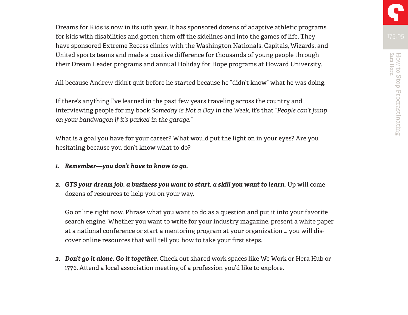Dreams for Kids is now in its 10th year. It has sponsored dozens of adaptive athletic programs for kids with disabilities and gotten them off the sidelines and into the games of life. They have sponsored Extreme Recess clinics with the Washington Nationals, Capitals, Wizards, and United sports teams and made a positive difference for thousands of young people through their Dream Leader programs and annual Holiday for Hope programs at Howard University.

All because Andrew didn't quit before he started because he "didn't know" what he was doing.

If there's anything I've learned in the past few years traveling across the country and interviewing people for my book *Someday is Not a Day in the Week*, it's that *"People can't jump on your bandwagon if it's parked in the garage."*

What is a goal you have for your career? What would put the light on in your eyes? Are you hesitating because you don't know what to do?

- *1. Remember—you don't have to know to go.*
- *2. GTS your dream job, a business you want to start, a skill you want to learn.* Up will come dozens of resources to help you on your way.

Go online right now. Phrase what you want to do as a question and put it into your favorite search engine. Whether you want to write for your industry magazine, present a white paper at a national conference or start a mentoring program at your organization … you will discover online resources that will tell you how to take your first steps.

*3. Don't go it alone. Go it together.* Check out shared work spaces like We Work or Hera Hub or 1776. Attend a local association meeting of a profession you'd like to explore.

Sam Horn How to Stop Procrastinating

How to Stop Procrastinating<br>Sam Hom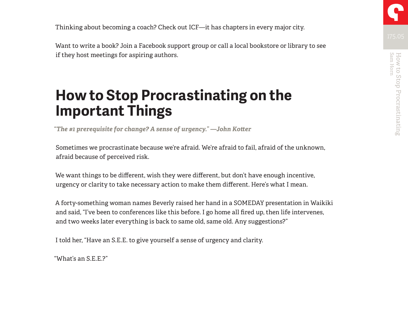Thinking about becoming a coach? Check out ICF—it has chapters in every major city.

Want to write a book? Join a Facebook support group or call a local bookstore or library to see if they host meetings for aspiring authors.

### **How to Stop Procrastinating on the Important Things**

*"The #1 prerequisite for change? A sense of urgency." —John Kotter*

Sometimes we procrastinate because we're afraid. We're afraid to fail, afraid of the unknown, afraid because of perceived risk.

We want things to be different, wish they were different, but don't have enough incentive, urgency or clarity to take necessary action to make them different. Here's what I mean.

A forty-something woman names Beverly raised her hand in a SOMEDAY presentation in Waikiki and said, "I've been to conferences like this before. I go home all fired up, then life intervenes, and two weeks later everything is back to same old, same old. Any suggestions?"

I told her, "Have an S.E.E. to give yourself a sense of urgency and clarity.

"What's an S.E.E.?"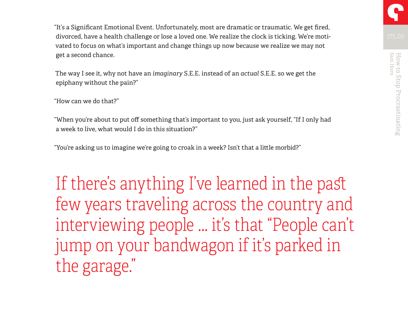"It's a Significant Emotional Event. Unfortunately, most are dramatic or traumatic. We get fired, divorced, have a health challenge or lose a loved one. We realize the clock is ticking. We're motivated to focus on what's important and change things up now because we realize we may not get a second chance.

The way I see it, why not have an *imaginary* S.E.E. instead of an *actual* S.E.E. so we get the epiphany without the pain?"

"How can we do that?"

"When you're about to put off something that's important to you, just ask yourself, "If I only had a week to live, what would I do in this situation?"

"You're asking us to imagine we're going to croak in a week? Isn't that a little morbid?"

If there's anything I've learned in the past few years traveling across the country and interviewing people … it's that "People can't jump on your bandwagon if it's parked in the garage."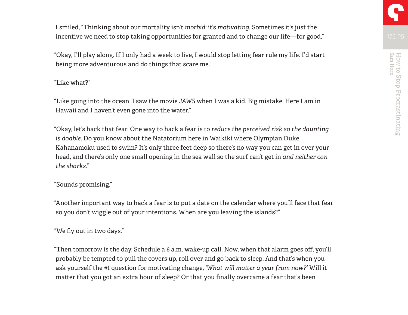I smiled, "Thinking about our mortality isn't *morbid*; it's *motivating*. Sometimes it's just the incentive we need to stop taking opportunities for granted and to change our life—for good."

"Okay, I'll play along. If I only had a week to live, I would stop letting fear rule my life. I'd start being more adventurous and do things that scare me."

### "Like what?"

"Like going into the ocean. I saw the movie *JAWS* when I was a kid. Big mistake. Here I am in Hawaii and I haven't even gone into the water."

"Okay, let's hack that fear. One way to hack a fear is to *reduce the perceived risk so the daunting is doable*. Do you know about the Natatorium here in Waikiki where Olympian Duke Kahanamoku used to swim? It's only three feet deep so there's no way you can get in over your head, and there's only one small opening in the sea wall so the surf can't get in *and neither can the sharks*."

### "Sounds promising."

"Another important way to hack a fear is to put a date on the calendar where you'll face that fear so you don't wiggle out of your intentions. When are you leaving the islands?"

### "We fly out in two days."

"Then tomorrow is the day. Schedule a 6 a.m. wake-up call. Now, when that alarm goes off, you'll probably be tempted to pull the covers up, roll over and go back to sleep. And that's when you ask yourself the #1 question for motivating change, *'What will matter a year from now?'* Will it matter that you got an extra hour of sleep? Or that you finally overcame a fear that's been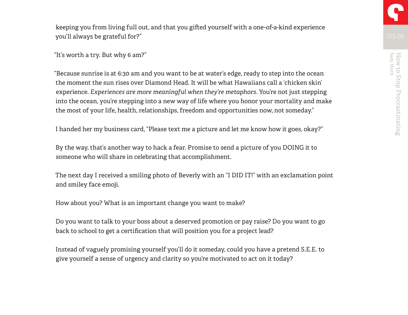keeping you from living full out, and that you gifted yourself with a one-of-a-kind experience you'll always be grateful for?"

"It's worth a try. But why 6 am?"

"Because sunrise is at 6:30 am and you want to be at water's edge, ready to step into the ocean the moment the sun rises over Diamond Head. It will be what Hawaiians call a 'chicken skin' experience. *Experiences are more meaningful when they're metaphors.* You're not just stepping into the ocean, you're stepping into a new way of life where you honor your mortality and make the most of your life, health, relationships, freedom and opportunities now, not someday."

I handed her my business card, "Please text me a picture and let me know how it goes, okay?"

By the way, that's another way to hack a fear. Promise to send a picture of you DOING it to someone who will share in celebrating that accomplishment.

The next day I received a smiling photo of Beverly with an "I DID IT!" with an exclamation point and smiley face emoji.

How about you? What is an important change you want to make?

Do you want to talk to your boss about a deserved promotion or pay raise? Do you want to go back to school to get a certification that will position you for a project lead?

Instead of vaguely promising yourself you'll do it someday, could you have a pretend S.E.E. to give yourself a sense of urgency and clarity so you're motivated to act on it today?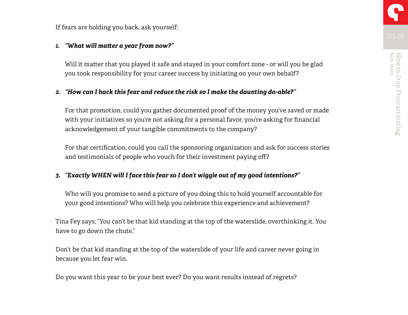If fears are holding you back, ask yourself:

### *1. "What will matter a year from now?"*

Will it matter that you played it safe and stayed in your comfort zone - or will you be glad you took responsibility for your career success by initiating on your own behalf?

### *2. "How can I hack this fear and reduce the risk so I make the daunting do-able?"*

For that promotion, could you gather documented proof of the money you've saved or made with your initiatives so you're not asking for a personal favor, you're asking for financial acknowledgement of your tangible commitments to the company?

For that certification, could you call the sponsoring organization and ask for success stories and testimonials of people who vouch for their investment paying off?

### *3. "Exactly WHEN will I face this fear so I don't wiggle out of my good intentions?"*

Who will you promise to send a picture of you doing this to hold yourself accountable for your good intentions? Who will help you celebrate this experience and achievement?

Tina Fey says, "You can't be that kid standing at the top of the waterslide, overthinking it. You have to go down the chute."

Don't be that kid standing at the top of the waterslide of your life and career never going in because you let fear win.

Do you want this year to be your best ever? Do you want results instead of regrets?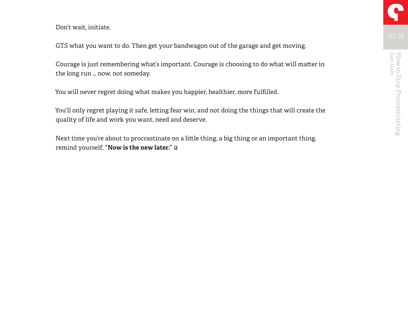Don't wait, initiate.

GTS what you want to do. Then get your bandwagon out of the garage and get moving.

Courage is just remembering what's important. Courage is choosing to do what will matter in the long run … now, not someday.

You will never regret doing what makes you happier, healthier, more fulfilled.

You'll only regret playing it safe, letting fear win, and not doing the things that will create the quality of life and work you want, need and deserve.

Next time you're about to procrastinate on a little thing, a big thing or an important thing, remind yourself, **"Now is the new later."**